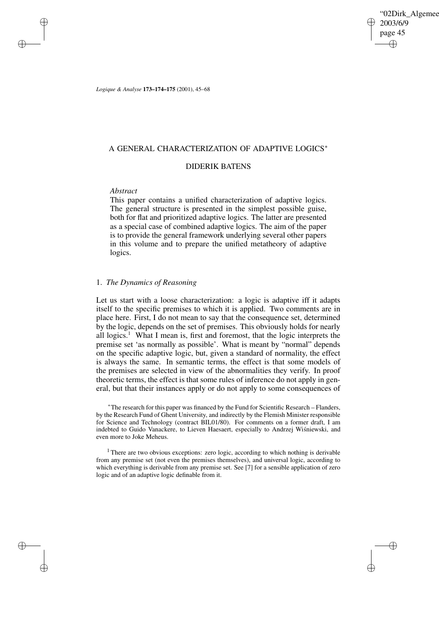'02Dirk\_Algemee 2003/6/9 page 45 ✐ ✐

✐

✐

*Logique & Analyse* **173–174–175** (2001), 45–68

# A GENERAL CHARACTERIZATION OF ADAPTIVE LOGICS<sup>∗</sup>

# DIDERIK BATENS

# *Abstract*

✐

✐

✐

✐

This paper contains a unified characterization of adaptive logics. The general structure is presented in the simplest possible guise, both for flat and prioritized adaptive logics. The latter are presented as a special case of combined adaptive logics. The aim of the paper is to provide the general framework underlying several other papers in this volume and to prepare the unified metatheory of adaptive logics.

# 1. *The Dynamics of Reasoning*

Let us start with a loose characterization: a logic is adaptive iff it adapts itself to the specific premises to which it is applied. Two comments are in place here. First, I do not mean to say that the consequence set, determined by the logic, depends on the set of premises. This obviously holds for nearly all logics.<sup>1</sup> What I mean is, first and foremost, that the logic interprets the premise set 'as normally as possible'. What is meant by "normal" depends on the specific adaptive logic, but, given a standard of normality, the effect is always the same. In semantic terms, the effect is that some models of the premises are selected in view of the abnormalities they verify. In proof theoretic terms, the effect is that some rules of inference do not apply in general, but that their instances apply or do not apply to some consequences of

<sup>∗</sup>The research for this paper was financed by the Fund for Scientific Research – Flanders, by the Research Fund of Ghent University, and indirectly by the Flemish Minister responsible for Science and Technology (contract BIL01/80). For comments on a former draft, I am indebted to Guido Vanackere, to Lieven Haesaert, especially to Andrzej Wiśniewski, and even more to Joke Meheus.

<sup>1</sup> There are two obvious exceptions: zero logic, according to which nothing is derivable from any premise set (not even the premises themselves), and universal logic, according to which everything is derivable from any premise set. See [7] for a sensible application of zero logic and of an adaptive logic definable from it.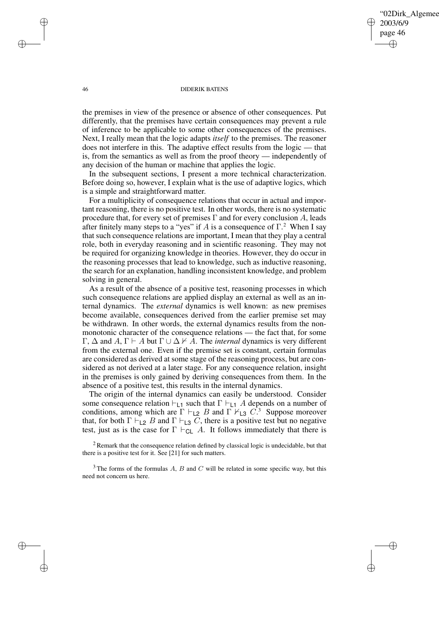✐

## 46 DIDERIK BATENS

the premises in view of the presence or absence of other consequences. Put differently, that the premises have certain consequences may prevent a rule of inference to be applicable to some other consequences of the premises. Next, I really mean that the logic adapts *itself* to the premises. The reasoner does not interfere in this. The adaptive effect results from the logic — that is, from the semantics as well as from the proof theory — independently of any decision of the human or machine that applies the logic.

In the subsequent sections, I present a more technical characterization. Before doing so, however, I explain what is the use of adaptive logics, which is a simple and straightforward matter.

For a multiplicity of consequence relations that occur in actual and important reasoning, there is no positive test. In other words, there is no systematic procedure that, for every set of premises  $\Gamma$  and for every conclusion A, leads after finitely many steps to a "yes" if A is a consequence of  $\Gamma$ .<sup>2</sup> When I say that such consequence relations are important, I mean that they play a central role, both in everyday reasoning and in scientific reasoning. They may not be required for organizing knowledge in theories. However, they do occur in the reasoning processes that lead to knowledge, such as inductive reasoning, the search for an explanation, handling inconsistent knowledge, and problem solving in general.

As a result of the absence of a positive test, reasoning processes in which such consequence relations are applied display an external as well as an internal dynamics. The *external* dynamics is well known: as new premises become available, consequences derived from the earlier premise set may be withdrawn. In other words, the external dynamics results from the nonmonotonic character of the consequence relations — the fact that, for some  $Γ, Δ$  and A,  $Γ$   $\vdash$  A but  $Γ$   $\cup$   $Δ$   $\not\models$  A. The *internal* dynamics is very different from the external one. Even if the premise set is constant, certain formulas are considered as derived at some stage of the reasoning process, but are considered as not derived at a later stage. For any consequence relation, insight in the premises is only gained by deriving consequences from them. In the absence of a positive test, this results in the internal dynamics.

The origin of the internal dynamics can easily be understood. Consider some consequence relation  $\vdash_{\mathsf{L}1}$  such that  $\Gamma \vdash_{\mathsf{L}1} A$  depends on a number of conditions, among which are  $\Gamma \vdash_{\textsf{L2}} B$  and  $\Gamma \vdash_{\textsf{L3}} C$ .<sup>3</sup> Suppose moreover that, for both  $\Gamma \vdash_{\mathsf{L}2} B$  and  $\Gamma \vdash_{\mathsf{L}3} C$ , there is a positive test but no negative test, just as is the case for  $\Gamma \vdash_{CL} A$ . It follows immediately that there is

 $2$  Remark that the consequence relation defined by classical logic is undecidable, but that there is a positive test for it. See [21] for such matters.

✐

✐

✐

 $3$  The forms of the formulas A, B and C will be related in some specific way, but this need not concern us here.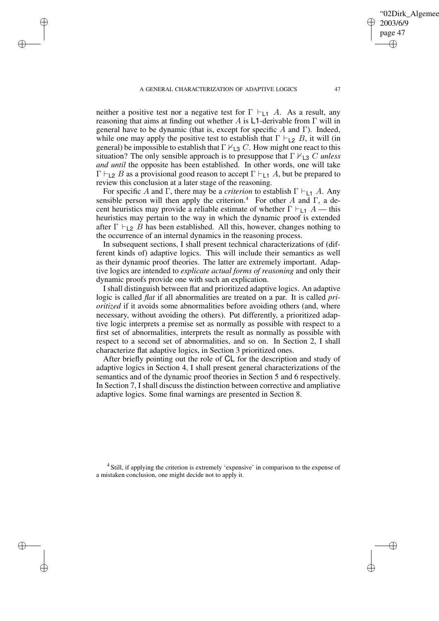✐

✐

✐

neither a positive test nor a negative test for  $\Gamma \vdash_{\mathsf{L1}} A$ . As a result, any reasoning that aims at finding out whether A is L1-derivable from Γ will in general have to be dynamic (that is, except for specific A and Γ). Indeed, while one may apply the positive test to establish that  $\Gamma \vdash_{\mathsf{L2}} B$ , it will (in general) be impossible to establish that  $\Gamma \nvdash_{\mathsf{L}3} C$ . How might one react to this situation? The only sensible approach is to presuppose that  $\Gamma \nvdash_{\mathsf{L3}} C$  *unless and until* the opposite has been established. In other words, one will take  $\Gamma \vdash_{\mathsf{L2}} B$  as a provisional good reason to accept  $\Gamma \vdash_{\mathsf{L1}} A$ , but be prepared to review this conclusion at a later stage of the reasoning.

For specific A and Γ, there may be a *criterion* to establish  $\Gamma \vdash_{1,1} A$ . Any sensible person will then apply the criterion.<sup>4</sup> For other A and Γ, a decent heuristics may provide a reliable estimate of whether  $\Gamma \vdash_{1,1} A$  — this heuristics may pertain to the way in which the dynamic proof is extended after  $\Gamma \vdash_{\textsf{L2}} B$  has been established. All this, however, changes nothing to the occurrence of an internal dynamics in the reasoning process.

In subsequent sections, I shall present technical characterizations of (different kinds of) adaptive logics. This will include their semantics as well as their dynamic proof theories. The latter are extremely important. Adaptive logics are intended to *explicate actual forms of reasoning* and only their dynamic proofs provide one with such an explication.

I shall distinguish between flat and prioritized adaptive logics. An adaptive logic is called *flat* if all abnormalities are treated on a par. It is called *prioritized* if it avoids some abnormalities before avoiding others (and, where necessary, without avoiding the others). Put differently, a prioritized adaptive logic interprets a premise set as normally as possible with respect to a first set of abnormalities, interprets the result as normally as possible with respect to a second set of abnormalities, and so on. In Section 2, I shall characterize flat adaptive logics, in Section 3 prioritized ones.

After briefly pointing out the role of CL for the description and study of adaptive logics in Section 4, I shall present general characterizations of the semantics and of the dynamic proof theories in Section 5 and 6 respectively. In Section 7, I shall discuss the distinction between corrective and ampliative adaptive logics. Some final warnings are presented in Section 8.

<sup>4</sup> Still, if applying the criterion is extremely 'expensive' in comparison to the expense of a mistaken conclusion, one might decide not to apply it.

02Dirk\_Algemee

2003/6/9 page 47

✐

✐

✐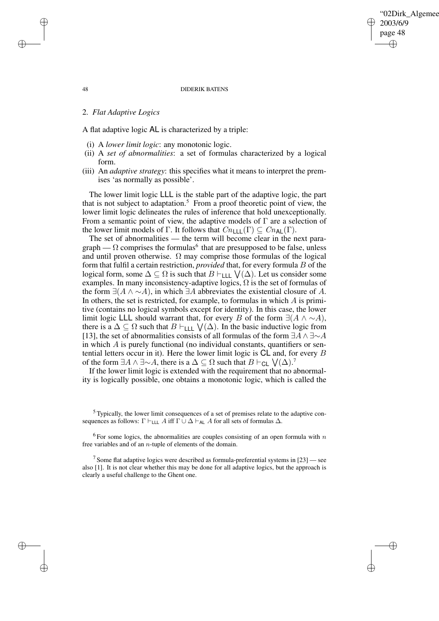# 02Dirk Algemee 2003/6/9 page 48 ✐ ✐

✐

✐

## 48 DIDERIK BATENS

## 2. *Flat Adaptive Logics*

A flat adaptive logic AL is characterized by a triple:

- (i) A *lower limit logic*: any monotonic logic.
- (ii) A *set of abnormalities*: a set of formulas characterized by a logical form.
- (iii) An *adaptive strategy*: this specifies what it means to interpret the premises 'as normally as possible'.

The lower limit logic LLL is the stable part of the adaptive logic, the part that is not subject to adaptation.<sup>5</sup> From a proof theoretic point of view, the lower limit logic delineates the rules of inference that hold unexceptionally. From a semantic point of view, the adaptive models of  $\Gamma$  are a selection of the lower limit models of Γ. It follows that  $Cn_{\text{LLL}}(\Gamma) \subseteq Cn_{\text{AL}}(\Gamma)$ .

The set of abnormalities — the term will become clear in the next paragraph —  $\Omega$  comprises the formulas<sup>6</sup> that are presupposed to be false, unless and until proven otherwise.  $\Omega$  may comprise those formulas of the logical form that fulfil a certain restriction, *provided* that, for every formula B of the logical form, some  $\Delta \subseteq \Omega$  is such that  $B \vdash_{\mathsf{LLL}} \bigvee(\Delta)$ . Let us consider some examples. In many inconsistency-adaptive logics,  $\Omega$  is the set of formulas of the form  $\exists (A \land \neg A)$ , in which  $\exists A$  abbreviates the existential closure of A. In others, the set is restricted, for example, to formulas in which  $A$  is primitive (contains no logical symbols except for identity). In this case, the lower limit logic LLL should warrant that, for every B of the form  $\exists (A \land \sim A)$ , there is a  $\Delta \subseteq \Omega$  such that  $B \vdash_{\textsf{LLL}} \bigvee(\Delta)$ . In the basic inductive logic from [13], the set of abnormalities consists of all formulas of the form  $\exists A \wedge \exists \sim A$ in which  $A$  is purely functional (no individual constants, quantifiers or sentential letters occur in it). Here the lower limit logic is CL and, for every B of the form  $\exists A \land \exists \sim A$ , there is a  $\Delta \subseteq \Omega$  such that  $B \vdash_{\mathsf{CL}} \bigvee (\Delta)$ .<sup>7</sup>

If the lower limit logic is extended with the requirement that no abnormality is logically possible, one obtains a monotonic logic, which is called the

<sup>5</sup> Typically, the lower limit consequences of a set of premises relate to the adaptive consequences as follows:  $\Gamma \vdash_{\text{LLL}} A$  iff  $\Gamma \cup \Delta \vdash_{\text{AL}} A$  for all sets of formulas  $\Delta$ .

 $6$  For some logics, the abnormalities are couples consisting of an open formula with  $n$ free variables and of an n-tuple of elements of the domain.

<sup>7</sup> Some flat adaptive logics were described as formula-preferential systems in [23] — see also [1]. It is not clear whether this may be done for all adaptive logics, but the approach is clearly a useful challenge to the Ghent one.

✐

✐

✐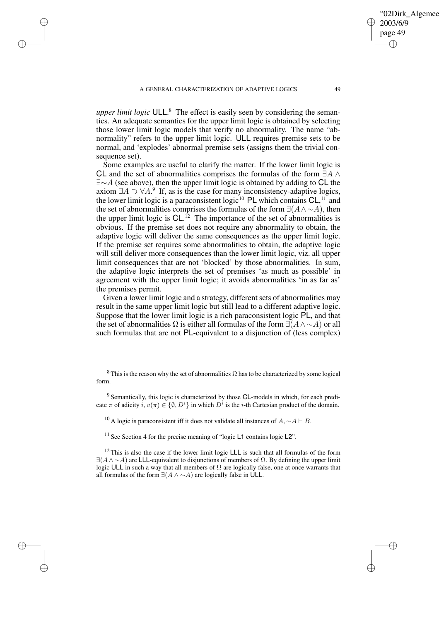✐

✐

✐

*upper limit logic* ULL. <sup>8</sup> The effect is easily seen by considering the semantics. An adequate semantics for the upper limit logic is obtained by selecting those lower limit logic models that verify no abnormality. The name "abnormality" refers to the upper limit logic. ULL requires premise sets to be normal, and 'explodes' abnormal premise sets (assigns them the trivial consequence set).

Some examples are useful to clarify the matter. If the lower limit logic is CL and the set of abnormalities comprises the formulas of the form  $\exists A \wedge$  $\exists \sim A$  (see above), then the upper limit logic is obtained by adding to CL the axiom  $\exists A \supset \forall A$ .<sup>9</sup> If, as is the case for many inconsistency-adaptive logics, the lower limit logic is a paraconsistent logic<sup>10</sup> PL which contains  $CL$ ,<sup>11</sup> and the set of abnormalities comprises the formulas of the form  $\exists (A \wedge \neg A)$ , then the upper limit logic is  $CL$ .<sup>12</sup> The importance of the set of abnormalities is obvious. If the premise set does not require any abnormality to obtain, the adaptive logic will deliver the same consequences as the upper limit logic. If the premise set requires some abnormalities to obtain, the adaptive logic will still deliver more consequences than the lower limit logic, viz. all upper limit consequences that are not 'blocked' by those abnormalities. In sum, the adaptive logic interprets the set of premises 'as much as possible' in agreement with the upper limit logic; it avoids abnormalities 'in as far as' the premises permit.

Given a lower limit logic and a strategy, different sets of abnormalities may result in the same upper limit logic but still lead to a different adaptive logic. Suppose that the lower limit logic is a rich paraconsistent logic PL, and that the set of abnormalities  $\Omega$  is either all formulas of the form  $\exists (A \land \sim A)$  or all such formulas that are not PL-equivalent to a disjunction of (less complex)

<sup>8</sup> This is the reason why the set of abnormalities  $\Omega$  has to be characterized by some logical form.

<sup>9</sup> Semantically, this logic is characterized by those CL-models in which, for each predicate  $\pi$  of adicity  $i, v(\pi) \in \{0, D^i\}$  in which  $D^i$  is the *i*-th Cartesian product of the domain.

<sup>10</sup> A logic is paraconsistent iff it does not validate all instances of  $A \sim A \vdash B$ .

 $11$  See Section 4 for the precise meaning of "logic L1 contains logic L2".

 $12$  This is also the case if the lower limit logic LLL is such that all formulas of the form  $\exists (A \land \sim A)$  are LLL-equivalent to disjunctions of members of  $\Omega$ . By defining the upper limit logic ULL in such a way that all members of  $\Omega$  are logically false, one at once warrants that all formulas of the form  $\exists (A \land \sim A)$  are logically false in ULL.

02Dirk Algemee

2003/6/9 page 49

✐

✐

✐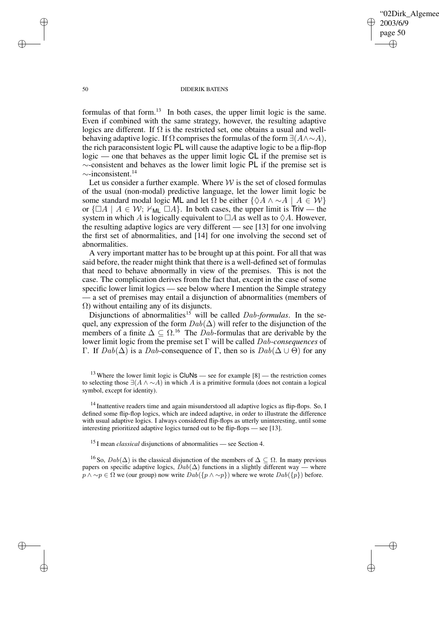02Dirk Algemee 2003/6/9 page 50 ✐ ✐

✐

✐

#### 50 DIDERIK BATENS

formulas of that form.<sup>13</sup> In both cases, the upper limit logic is the same. Even if combined with the same strategy, however, the resulting adaptive logics are different. If  $\Omega$  is the restricted set, one obtains a usual and wellbehaving adaptive logic. If  $\Omega$  comprises the formulas of the form  $\exists (A \wedge \neg A)$ , the rich paraconsistent logic PL will cause the adaptive logic to be a flip-flop logic — one that behaves as the upper limit logic CL if the premise set is ∼-consistent and behaves as the lower limit logic PL if the premise set is ∼-inconsistent.<sup>14</sup>

Let us consider a further example. Where  $W$  is the set of closed formulas of the usual (non-modal) predictive language, let the lower limit logic be some standard modal logic ML and let  $\Omega$  be either  $\{\Diamond A \land \sim A \mid A \in \mathcal{W}\}\$ or  $\{\Box A \mid A \in \mathcal{W}; \ \forall_{\text{ML}} \Box A\}$ . In both cases, the upper limit is Triv — the system in which A is logically equivalent to  $\Box A$  as well as to  $\Diamond A$ . However, the resulting adaptive logics are very different — see [13] for one involving the first set of abnormalities, and [14] for one involving the second set of abnormalities.

A very important matter has to be brought up at this point. For all that was said before, the reader might think that there is a well-defined set of formulas that need to behave abnormally in view of the premises. This is not the case. The complication derives from the fact that, except in the case of some specific lower limit logics — see below where I mention the Simple strategy — a set of premises may entail a disjunction of abnormalities (members of Ω) without entailing any of its disjuncts.

Disjunctions of abnormalities<sup>15</sup> will be called *Dab-formulas*. In the sequel, any expression of the form  $Dab(\Delta)$  will refer to the disjunction of the members of a finite  $\Delta \subseteq \Omega$ .<sup>16</sup> The Dab-formulas that are derivable by the lower limit logic from the premise set Γ will be called Dab-*consequences* of Γ. If  $Dab(\Delta)$  is a Dab-consequence of Γ, then so is  $Dab(\Delta \cup \Theta)$  for any

✐

✐

✐

<sup>&</sup>lt;sup>13</sup> Where the lower limit logic is  $CluNs$  — see for example  $[8]$  — the restriction comes to selecting those  $\exists (A \land \sim A)$  in which A is a primitive formula (does not contain a logical symbol, except for identity).

 $14$  Inattentive readers time and again misunderstood all adaptive logics as flip-flops. So, I defined some flip-flop logics, which are indeed adaptive, in order to illustrate the difference with usual adaptive logics. I always considered flip-flops as utterly uninteresting, until some interesting prioritized adaptive logics turned out to be flip-flops — see [13].

<sup>15</sup> I mean *classical* disjunctions of abnormalities — see Section 4.

<sup>&</sup>lt;sup>16</sup> So,  $Dab(\Delta)$  is the classical disjunction of the members of  $\Delta \subseteq \Omega$ . In many previous papers on specific adaptive logics,  $Dab(\Delta)$  functions in a slightly different way — where  $p \wedge \neg p \in \Omega$  we (our group) now write  $Dab({p \wedge \neg p})$  where we wrote  $Dab({p})$  before.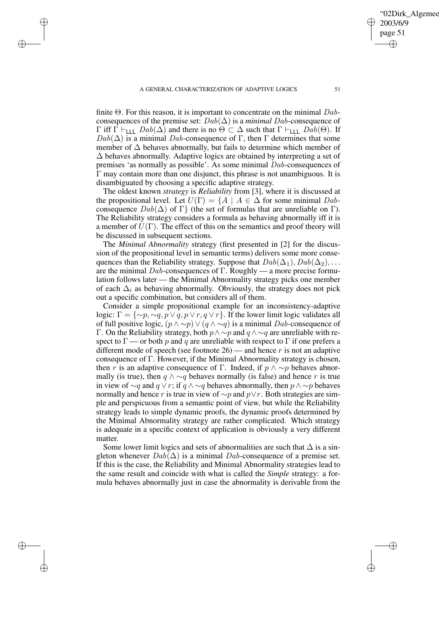✐

✐

✐

finite  $\Theta$ . For this reason, it is important to concentrate on the minimal  $Dab$ consequences of the premise set:  $Dab(\Delta)$  is a *minimal Dab*-consequence of Γ iff Γ  $\vdash$ <sub>LLL</sub> Dab( $\Delta$ ) and there is no Θ ⊂  $\Delta$  such that Γ  $\vdash$ <sub>LLL</sub> Dab(Θ). If  $Dab(\Delta)$  is a minimal Dab-consequence of Γ, then Γ determines that some member of  $\Delta$  behaves abnormally, but fails to determine which member of  $\Delta$  behaves abnormally. Adaptive logics are obtained by interpreting a set of premises 'as normally as possible'. As some minimal Dab-consequences of Γ may contain more than one disjunct, this phrase is not unambiguous. It is disambiguated by choosing a specific adaptive strategy.

The oldest known *strategy* is *Reliability* from [3], where it is discussed at the propositional level. Let  $U(\Gamma) = \{A \mid A \in \Delta \}$  for some minimal  $Dab$ consequence  $Dab(\Delta)$  of  $\Gamma$ } (the set of formulas that are unreliable on  $\Gamma$ ). The Reliability strategy considers a formula as behaving abnormally iff it is a member of  $U(\Gamma)$ . The effect of this on the semantics and proof theory will be discussed in subsequent sections.

The *Minimal Abnormality* strategy (first presented in [2] for the discussion of the propositional level in semantic terms) delivers some more consequences than the Reliability strategy. Suppose that  $Dab(\Delta_1)$ ,  $Dab(\Delta_2)$ , ... are the minimal Dab-consequences of Γ. Roughly — a more precise formulation follows later — the Minimal Abnormality strategy picks one member of each  $\Delta_i$  as behaving abnormally. Obviously, the strategy does not pick out a specific combination, but considers all of them.

Consider a simple propositional example for an inconsistency-adaptive logic:  $\Gamma = \{\sim p, \sim q, p \lor q, p \lor r, q \lor r\}$ . If the lower limit logic validates all of full positive logic,  $(p \land \sim p) \lor (q \land \sim q)$  is a minimal Dab-consequence of Γ. On the Reliability strategy, both  $p \land \sim p$  and  $q \land \sim q$  are unreliable with respect to  $\Gamma$  — or both p and q are unreliable with respect to  $\Gamma$  if one prefers a different mode of speech (see footnote  $26$ ) — and hence r is not an adaptive consequence of Γ. However, if the Minimal Abnormality strategy is chosen, then r is an adaptive consequence of Γ. Indeed, if  $p \wedge \sim p$  behaves abnormally (is true), then  $q \wedge \neg q$  behaves normally (is false) and hence r is true in view of  $\sim q$  and  $q \vee r$ ; if  $q \wedge \sim q$  behaves abnormally, then  $p \wedge \sim p$  behaves normally and hence r is true in view of  $\sim p$  and  $p \vee r$ . Both strategies are simple and perspicuous from a semantic point of view, but while the Reliability strategy leads to simple dynamic proofs, the dynamic proofs determined by the Minimal Abnormality strategy are rather complicated. Which strategy is adequate in a specific context of application is obviously a very different matter.

Some lower limit logics and sets of abnormalities are such that  $\Delta$  is a singleton whenever  $Dab(\Delta)$  is a minimal  $Dab$ -consequence of a premise set. If this is the case, the Reliability and Minimal Abnormality strategies lead to the same result and coincide with what is called the *Simple* strategy: a formula behaves abnormally just in case the abnormality is derivable from the

02Dirk\_Algemee

2003/6/9 page 51

✐

✐

✐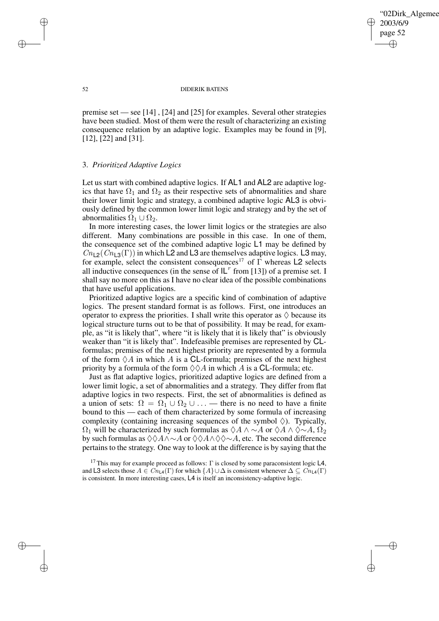✐

#### 52 DIDERIK BATENS

premise set — see [14] , [24] and [25] for examples. Several other strategies have been studied. Most of them were the result of characterizing an existing consequence relation by an adaptive logic. Examples may be found in [9], [12], [22] and [31].

# 3. *Prioritized Adaptive Logics*

Let us start with combined adaptive logics. If AL1 and AL2 are adaptive logics that have  $\Omega_1$  and  $\Omega_2$  as their respective sets of abnormalities and share their lower limit logic and strategy, a combined adaptive logic AL3 is obviously defined by the common lower limit logic and strategy and by the set of abnormalities  $\Omega_1 \cup \Omega_2$ .

In more interesting cases, the lower limit logics or the strategies are also different. Many combinations are possible in this case. In one of them, the consequence set of the combined adaptive logic L1 may be defined by  $Cn_{2}(Cn_{2}(\Gamma))$  in which L2 and L3 are themselves adaptive logics. L3 may, for example, select the consistent consequences<sup>17</sup> of  $\Gamma$  whereas L2 selects all inductive consequences (in the sense of  $IL<sup>r</sup>$  from [13]) of a premise set. I shall say no more on this as I have no clear idea of the possible combinations that have useful applications.

Prioritized adaptive logics are a specific kind of combination of adaptive logics. The present standard format is as follows. First, one introduces an operator to express the priorities. I shall write this operator as  $\Diamond$  because its logical structure turns out to be that of possibility. It may be read, for example, as "it is likely that", where "it is likely that it is likely that" is obviously weaker than "it is likely that". Indefeasible premises are represented by CLformulas; premises of the next highest priority are represented by a formula of the form  $\Diamond A$  in which A is a CL-formula; premises of the next highest priority by a formula of the form  $\Diamond \Diamond A$  in which A is a CL-formula; etc.

Just as flat adaptive logics, prioritized adaptive logics are defined from a lower limit logic, a set of abnormalities and a strategy. They differ from flat adaptive logics in two respects. First, the set of abnormalities is defined as a union of sets:  $\Omega = \Omega_1 \cup \Omega_2 \cup \ldots$  — there is no need to have a finite bound to this — each of them characterized by some formula of increasing complexity (containing increasing sequences of the symbol  $\Diamond$ ). Typically,  $\Omega_1$  will be characterized by such formulas as  $\Diamond A \land \Diamond A$  or  $\Diamond A \land \Diamond \sim A$ ,  $\Omega_2$ by such formulas as  $\Diamond \Diamond A \land \Diamond A$  or  $\Diamond \Diamond A \land \Diamond \Diamond \sim A$ , etc. The second difference pertainsto the strategy. One way to look at the difference is by saying that the

✐

✐

✐

<sup>&</sup>lt;sup>17</sup> This may for example proceed as follows:  $\Gamma$  is closed by some paraconsistent logic L4, and L3 selects those  $A \in Cn_{\mathsf{L}4}(\Gamma)$  for which  $\{A\} \cup \Delta$  is consistent whenever  $\Delta \subseteq Cn_{\mathsf{L}4}(\Gamma)$ is consistent. In more interesting cases, L4 is itself an inconsistency-adaptive logic.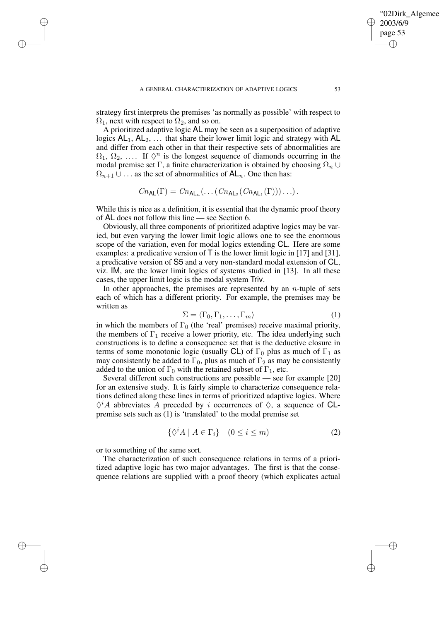✐

✐

✐

strategy first interprets the premises 'as normally as possible' with respect to  $\Omega_1$ , next with respect to  $\Omega_2$ , and so on.

A prioritized adaptive logic AL may be seen as a superposition of adaptive logics  $AL_1$ ,  $AL_2$ , ... that share their lower limit logic and strategy with AL and differ from each other in that their respective sets of abnormalities are  $\Omega_1, \Omega_2, \ldots$  If  $\Diamond^n$  is the longest sequence of diamonds occurring in the modal premise set Γ, a finite characterization is obtained by choosing  $\Omega_n \cup$  $\Omega_{n+1} \cup \ldots$  as the set of abnormalities of  $\mathsf{AL}_n$ . One then has:

$$
Cn_{\mathsf{AL}}(\Gamma) = Cn_{\mathsf{AL}_n}(\ldots (Cn_{\mathsf{AL}_2}(Cn_{\mathsf{AL}_1}(\Gamma)))\ldots).
$$

While this is nice as a definition, it is essential that the dynamic proof theory of AL does not follow this line — see Section 6.

Obviously, all three components of prioritized adaptive logics may be varied, but even varying the lower limit logic allows one to see the enormous scope of the variation, even for modal logics extending CL. Here are some examples: a predicative version of  $\overline{T}$  is the lower limit logic in [17] and [31], a predicative version of S5 and a very non-standard modal extension of CL, viz. IM, are the lower limit logics of systems studied in [13]. In all these cases, the upper limit logic is the modal system Triv.

In other approaches, the premises are represented by an  $n$ -tuple of sets each of which has a different priority. For example, the premises may be written as

$$
\Sigma = \langle \Gamma_0, \Gamma_1, \dots, \Gamma_m \rangle \tag{1}
$$

in which the members of  $\Gamma_0$  (the 'real' premises) receive maximal priority, the members of  $\Gamma_1$  receive a lower priority, etc. The idea underlying such constructions is to define a consequence set that is the deductive closure in terms of some monotonic logic (usually CL) of  $\Gamma_0$  plus as much of  $\Gamma_1$  as may consistently be added to  $\Gamma_0$ , plus as much of  $\Gamma_2$  as may be consistently added to the union of  $\Gamma_0$  with the retained subset of  $\Gamma_1$ , etc.

Several different such constructions are possible — see for example [20] for an extensive study. It is fairly simple to characterize consequence relations defined along these lines in terms of prioritized adaptive logics. Where  $\Diamond^i A$  abbreviates A preceded by i occurrences of  $\Diamond$ , a sequence of CLpremise sets such as (1) is 'translated' to the modal premise set

$$
\{\Diamond^{i} A \mid A \in \Gamma_{i}\} \quad (0 \le i \le m)
$$
 (2)

or to something of the same sort.

The characterization of such consequence relations in terms of a prioritized adaptive logic has two major advantages. The first is that the consequence relations are supplied with a proof theory (which explicates actual

'02Dirk\_Algemee

2003/6/9 page 53

✐

✐

✐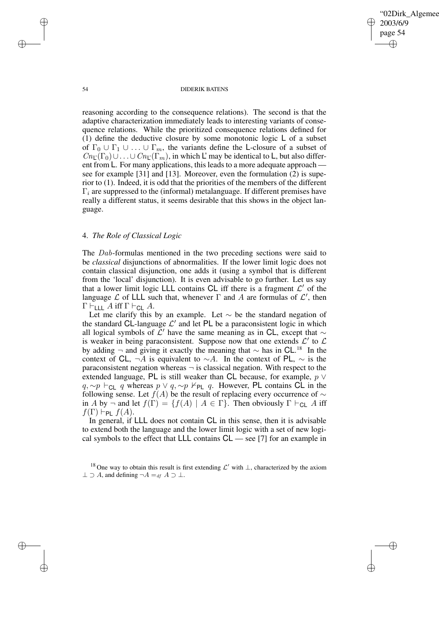'02Dirk\_Algemee 2003/6/9 page 54 ✐ ✐

✐

✐

## 54 DIDERIK BATENS

reasoning according to the consequence relations). The second is that the adaptive characterization immediately leads to interesting variants of consequence relations. While the prioritized consequence relations defined for (1) define the deductive closure by some monotonic logic  $\mathsf{L}$  of a subset of  $\Gamma_0 \cup \Gamma_1 \cup \ldots \cup \Gamma_m$ , the variants define the L-closure of a subset of  $Cn_{\mathcal{L}}(\Gamma_0)\cup\ldots\cup Cn_{\mathcal{L}}(\Gamma_m)$ , in which L' may be identical to L, but also different from L. For many applications, this leads to a more adequate approach see for example [31] and [13]. Moreover, even the formulation (2) is superior to (1). Indeed, it is odd that the priorities of the members of the different  $\Gamma_i$  are suppressed to the (informal) metalanguage. If different premises have really a different status, it seems desirable that this shows in the object language.

# 4. *The Role of Classical Logic*

The Dab-formulas mentioned in the two preceding sections were said to be *classical* disjunctions of abnormalities. If the lower limit logic does not contain classical disjunction, one adds it (using a symbol that is different from the 'local' disjunction). It is even advisable to go further. Let us say that a lower limit logic LLL contains CL iff there is a fragment  $\mathcal{L}'$  of the language  $\mathcal L$  of LLL such that, whenever  $\Gamma$  and  $\Lambda$  are formulas of  $\mathcal L'$ , then  $\Gamma \vdash_{\mathsf{LLL}} A$  iff  $\Gamma \vdash_{\mathsf{CL}} A$ .

Let me clarify this by an example. Let  $\sim$  be the standard negation of the standard CL-language  $\mathcal{L}'$  and let PL be a paraconsistent logic in which all logical symbols of  $\mathcal{L}'$  have the same meaning as in CL, except that  $\sim$ is weaker in being paraconsistent. Suppose now that one extends  $\mathcal{L}'$  to  $\mathcal{L}$ by adding  $\neg$  and giving it exactly the meaning that  $\sim$  has in CL.<sup>18</sup> In the context of CL,  $\neg A$  is equivalent to  $\sim A$ . In the context of PL,  $\sim$  is the paraconsistent negation whereas  $\neg$  is classical negation. With respect to the extended language, PL is still weaker than CL because, for example,  $p \vee p$  $q, \sim p \vdash_{\mathsf{CL}} q$  whereas  $p \lor q, \sim p \nvdash_{\mathsf{PL}} q$ . However, PL contains CL in the following sense. Let  $f(A)$  be the result of replacing every occurrence of  $\sim$ in A by  $\neg$  and let  $f(\Gamma) = \{f(A) \mid A \in \Gamma\}$ . Then obviously  $\Gamma \vdash_{\mathsf{CL}} A$  iff  $f(\Gamma) \vdash_{\mathsf{PL}} f(A).$ 

In general, if LLL does not contain CL in this sense, then it is advisable to extend both the language and the lower limit logic with a set of new logical symbols to the effect that LLL contains CL — see [7] for an example in

✐

✐

✐

<sup>&</sup>lt;sup>18</sup> One way to obtain this result is first extending  $\mathcal{L}'$  with  $\perp$ , characterized by the axiom  $\perp \supset A$ , and defining  $\neg A =_{df} A \supset \perp$ .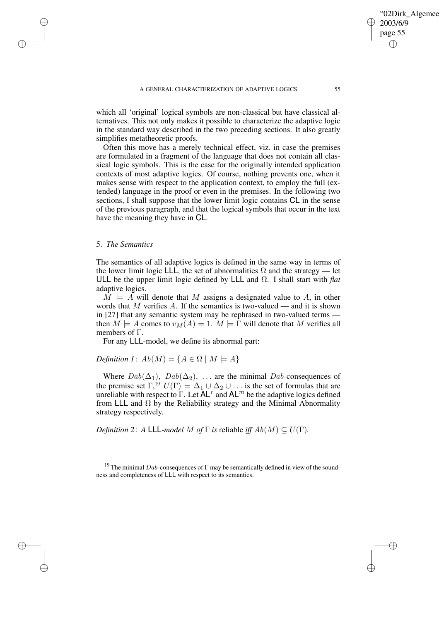which all 'original' logical symbols are non-classical but have classical alternatives. This not only makes it possible to characterize the adaptive logic in the standard way described in the two preceding sections. It also greatly simplifies metatheoretic proofs.

Often this move has a merely technical effect, viz. in case the premises are formulated in a fragment of the language that does not contain all classical logic symbols. This is the case for the originally intended application contexts of most adaptive logics. Of course, nothing prevents one, when it makes sense with respect to the application context, to employ the full (extended) language in the proof or even in the premises. In the following two sections, I shall suppose that the lower limit logic contains CL in the sense of the previous paragraph, and that the logical symbols that occur in the text have the meaning they have in CL.

# 5. *The Semantics*

✐

✐

✐

✐

The semantics of all adaptive logics is defined in the same way in terms of the lower limit logic LLL, the set of abnormalities  $\Omega$  and the strategy — let ULL be the upper limit logic defined by LLL and Ω. I shall start with *flat* adaptive logics.

 $M \models A$  will denote that M assigns a designated value to A, in other words that  $M$  verifies  $A$ . If the semantics is two-valued — and it is shown in [27] that any semantic system may be rephrased in two-valued terms then  $M \models A$  comes to  $v_M(A) = 1$ .  $M \models \Gamma$  will denote that M verifies all members of Γ.

For any LLL-model, we define its abnormal part:

*Definition 1*:  $Ab(M) = \{A \in \Omega \mid M \models A\}$ 

Where  $Dab(\Delta_1)$ ,  $Dab(\Delta_2)$ , ... are the minimal Dab-consequences of the premise set  $\Gamma$ ,<sup>19</sup>  $U(\Gamma) = \Delta_1 \cup \Delta_2 \cup \ldots$  is the set of formulas that are unreliable with respect to  $\Gamma$ . Let  $\overline{AL}^r$  and  $AL^m$  be the adaptive logics defined from LLL and  $\Omega$  by the Reliability strategy and the Minimal Abnormality strategy respectively.

*Definition* 2: *A* LLL*-model M of*  $\Gamma$  *is* reliable *iff*  $Ab(M) \subseteq U(\Gamma)$ *.* 

'02Dirk Algemee

2003/6/9 page 55

✐

✐

✐

<sup>&</sup>lt;sup>19</sup> The minimal Dab-consequences of  $\Gamma$  may be semantically defined in view of the soundness and completeness of LLL with respect to its semantics.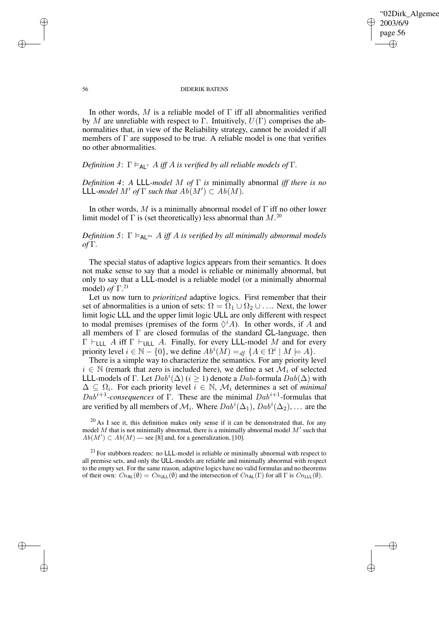✐

## 56 DIDERIK BATENS

In other words, M is a reliable model of  $\Gamma$  iff all abnormalities verified by M are unreliable with respect to Γ. Intuitively,  $U(\Gamma)$  comprises the abnormalities that, in view of the Reliability strategy, cannot be avoided if all members of Γ are supposed to be true. A reliable model is one that verifies no other abnormalities.

# *Definition* 3:  $\Gamma \models_{\mathsf{AL}^T} A$  *iff* A *is verified by all reliable models of*  $\Gamma$ *.*

✐

✐

✐

✐

*Definition 4*: *A* LLL*-model* M *of* Γ *is* minimally abnormal *iff there is no*  $LLL$ *-model*  $M'$  *of*  $\Gamma$  *such that*  $Ab(M') \subset Ab(M)$ *.* 

In other words, M is a minimally abnormal model of  $\Gamma$  iff no other lower limit model of  $\Gamma$  is (set theoretically) less abnormal than  $M$ .<sup>20</sup>

*Definition* 5:  $\Gamma \models_{\mathsf{Al}} m A$  *iff* A *is verified by all minimally abnormal models of* Γ*.*

The special status of adaptive logics appears from their semantics. It does not make sense to say that a model is reliable or minimally abnormal, but only to say that a LLL-model is a reliable model (or a minimally abnormal model) *of* Γ. 21

Let us now turn to *prioritized* adaptive logics. First remember that their set of abnormalities is a union of sets:  $\Omega = \Omega_1 \cup \Omega_2 \cup \dots$  Next, the lower limit logic LLL and the upper limit logic ULL are only different with respect to modal premises (premises of the form  $\Diamond^i A$ ). In other words, if A and all members of  $\Gamma$  are closed formulas of the standard **CL**-language, then  $\Gamma \vdash_{\textsf{LLL}} A$  iff  $\Gamma \vdash_{\textsf{ULL}} A$ . Finally, for every LLL-model M and for every priority level  $i \in \mathbb{N} - \{0\}$ , we define  $Ab^{i}(M) =_{df} \{A \in \Omega^{i} | M \models A\}$ .

There is a simple way to characterize the semantics. For any priority level  $i \in \mathbb{N}$  (remark that zero is included here), we define a set  $\mathcal{M}_i$  of selected LLL-models of Γ. Let  $Dab^i(\Delta)$  ( $i \geq 1$ ) denote a  $Dab$ -formula  $Dab(\Delta)$  with  $\Delta \subseteq \Omega_i$ . For each priority level  $i \in \mathbb{N}$ ,  $\mathcal{M}_i$  determines a set of *minimal*  $Da\overline{b}^{i+1}$ -consequences of  $\Gamma$ . These are the minimal  $Dab^{i+1}$ -formulas that are verified by all members of  $\mathcal{M}_i$ . Where  $Dab^i(\Delta_1)$ ,  $Dab^i(\Delta_2)$ , ... are the

 $20$  As I see it, this definition makes only sense if it can be demonstrated that, for any model  $M$  that is not minimally abnormal, there is a minimally abnormal model  $M'$  such that  $Ab(M') \subset Ab(M)$  — see [8] and, for a generalization, [10].

 $^{21}$  For stubborn readers: no LLL-model is reliable or minimally abnormal with respect to all premise sets, and only the ULL-models are reliable and minimally abnormal with respect to the empty set. For the same reason, adaptive logics have no valid formulas and no theorems of their own:  $Cn_{\text{AL}}(\emptyset) = Cn_{\text{ULL}}(\emptyset)$  and the intersection of  $Cn_{\text{AL}}(\Gamma)$  for all  $\Gamma$  is  $Cn_{\text{LLL}}(\emptyset)$ .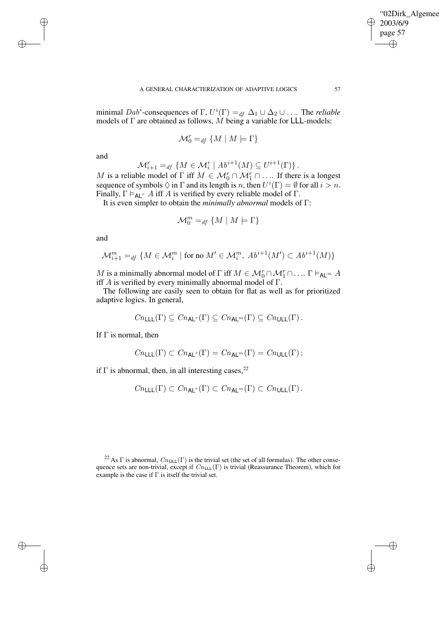✐

minimal  $Dab^i$ -consequences of  $\Gamma$ ,  $U^i(\Gamma) =_{df} \Delta_1 \cup \Delta_2 \cup ...$  The *reliable* models of  $\Gamma$  are obtained as follows,  $\tilde{M}$  being a variable for LLL-models:

$$
\mathcal{M}_0^r =_{df} \{ M \mid M \models \Gamma \}
$$

and

✐

✐

✐

✐

$$
\mathcal{M}_{i+1}^r =_{df} \{ M \in \mathcal{M}_i^r \mid Ab^{i+1}(M) \subseteq U^{i+1}(\Gamma) \}.
$$

M is a reliable model of  $\Gamma$  iff  $M \in \mathcal{M}_0^r \cap \mathcal{M}_1^r \cap \dots$  If there is a longest sequence of symbols  $\Diamond$  in  $\Gamma$  and its length is n, then  $U^i(\Gamma) = \emptyset$  for all  $i > n$ . Finally,  $\Gamma \models_{AL^r} A$  iff A is verified by every reliable model of  $\Gamma$ .

It is even simpler to obtain the *minimally abnormal* models of Γ:

$$
\mathcal{M}_0^m =_{df} \{ M \mid M \models \Gamma \}
$$

and

$$
\mathcal{M}^m_{i+1} =_{df} \{ M \in \mathcal{M}^m_i \mid \text{for no } M' \in \mathcal{M}^m_i, Ab^{i+1}(M') \subset Ab^{i+1}(M) \}
$$

M is a minimally abnormal model of  $\Gamma$  iff  $M \in \mathcal{M}_0^r \cap \mathcal{M}_1^r \cap \ldots$   $\Gamma \vDash_{\mathsf{AL}^m} A$ iff  $A$  is verified by every minimally abnormal model of  $\Gamma$ .

The following are easily seen to obtain for flat as well as for prioritized adaptive logics. In general,

$$
Cn_{\mathsf{LLL}}(\Gamma) \subseteq Cn_{\mathsf{AL}^r}(\Gamma) \subseteq Cn_{\mathsf{AL}^m}(\Gamma) \subseteq Cn_{\mathsf{ULL}}(\Gamma).
$$

If  $\Gamma$  is normal, then

$$
\mathit{Cn}_\mathsf{LLL}(\Gamma) \subset \mathit{Cn}_\mathsf{AL}(\Gamma) = \mathit{Cn}_\mathsf{AL}(\Gamma) = \mathit{Cn}_\mathsf{ULL}(\Gamma) \, ;
$$

if  $\Gamma$  is abnormal, then, in all interesting cases,<sup>22</sup>

$$
\mathit{Cn}_{{\mathsf{LLL}}}(\Gamma) \subset \mathit{Cn}_{{\mathsf{AL}}^r}(\Gamma) \subset \mathit{Cn}_{{\mathsf{AL}}^m}(\Gamma) \subset \mathit{Cn}_{{\mathsf{ULL}}}(\Gamma).
$$

<sup>&</sup>lt;sup>22</sup> As  $\Gamma$  is abnormal,  $Cn_{\text{ULL}}(\Gamma)$  is the trivial set (the set of all formulas). The other consequence sets are non-trivial, except if  $Cn_{\text{LLL}}(\Gamma)$  is trivial (Reassurance Theorem), which for example is the case if  $\Gamma$  is itself the trivial set.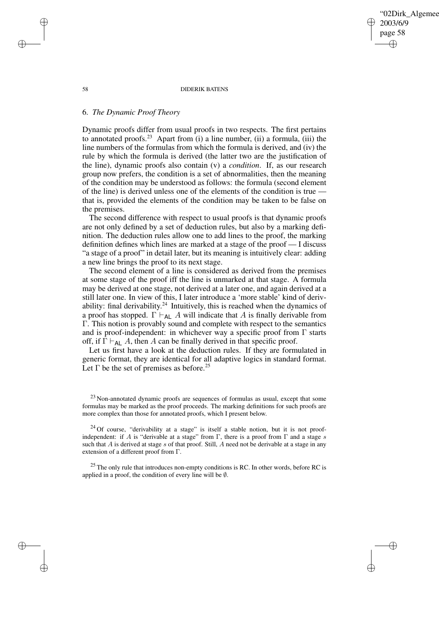02Dirk Algemee 2003/6/9 page 58 ✐ ✐

✐

✐

## 58 DIDERIK BATENS

# 6. *The Dynamic Proof Theory*

Dynamic proofs differ from usual proofs in two respects. The first pertains to annotated proofs.<sup>23</sup> Apart from (i) a line number, (ii) a formula, (iii) the line numbers of the formulas from which the formula is derived, and (iv) the rule by which the formula is derived (the latter two are the justification of the line), dynamic proofs also contain (v) a *condition*. If, as our research group now prefers, the condition is a set of abnormalities, then the meaning of the condition may be understood as follows: the formula (second element of the line) is derived unless one of the elements of the condition is true that is, provided the elements of the condition may be taken to be false on the premises.

The second difference with respect to usual proofs is that dynamic proofs are not only defined by a set of deduction rules, but also by a marking definition. The deduction rules allow one to add lines to the proof, the marking definition defines which lines are marked at a stage of the proof — I discuss "a stage of a proof" in detail later, but its meaning is intuitively clear: adding a new line brings the proof to its next stage.

The second element of a line is considered as derived from the premises at some stage of the proof iff the line is unmarked at that stage. A formula may be derived at one stage, not derived at a later one, and again derived at a still later one. In view of this, I later introduce a 'more stable' kind of derivability: final derivability. $24$  Intuitively, this is reached when the dynamics of a proof has stopped.  $\Gamma \vdash_{AL} A$  will indicate that A is finally derivable from Γ. This notion is provably sound and complete with respect to the semantics and is proof-independent: in whichever way a specific proof from  $\Gamma$  starts off, if  $\Gamma \vdash_{AL} A$ , then A can be finally derived in that specific proof.

Let us first have a look at the deduction rules. If they are formulated in generic format, they are identical for all adaptive logics in standard format. Let  $\Gamma$  be the set of premises as before.<sup>25</sup>

✐

✐

✐

 $23$  Non-annotated dynamic proofs are sequences of formulas as usual, except that some formulas may be marked as the proof proceeds. The marking definitions for such proofs are more complex than those for annotated proofs, which I present below.

 $24$  Of course, "derivability at a stage" is itself a stable notion, but it is not proofindependent: if A is "derivable at a stage" from Γ, there is a proof from Γ and a stage s such that  $A$  is derived at stage  $s$  of that proof. Still,  $A$  need not be derivable at a stage in any extension of a different proof from Γ.

 $^{25}$  The only rule that introduces non-empty conditions is RC. In other words, before RC is applied in a proof, the condition of every line will be ∅.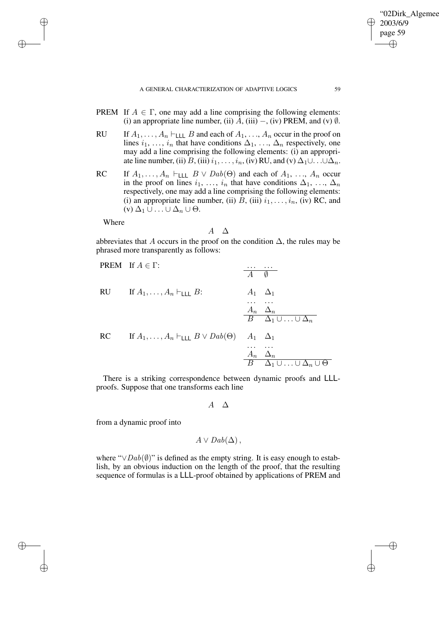- PREM If  $A \in \Gamma$ , one may add a line comprising the following elements: (i) an appropriate line number, (ii)  $\overline{A}$ , (iii) –, (iv) PREM, and (v)  $\emptyset$ .
- RU If  $A_1, \ldots, A_n \vdash_{\text{LLL}} B$  and each of  $A_1, \ldots, A_n$  occur in the proof on lines  $i_1, \ldots, i_n$  that have conditions  $\Delta_1, \ldots, \Delta_n$  respectively, one may add a line comprising the following elements: (i) an appropriate line number, (ii)  $B$ , (iii)  $i_1, \ldots, i_n$ , (iv) RU, and (v)  $\Delta_1 \cup \ldots \cup \Delta_n$ .
- RC If  $A_1, \ldots, A_n \vdash_{\text{LLL}} B \lor \text{D}ab(\Theta)$  and each of  $A_1, \ldots, A_n$  occur in the proof on lines  $i_1, \ldots, i_n$  that have conditions  $\Delta_1, \ldots, \Delta_n$ respectively, one may add a line comprising the following elements: (i) an appropriate line number, (ii)  $B$ , (iii)  $i_1, \ldots, i_n$ , (iv) RC, and  $(v)$   $\Delta_1 \cup ... \cup \Delta_n \cup \Theta$ .

Where

✐

✐

✐

✐

$$
A \quad \Delta
$$

abbreviates that A occurs in the proof on the condition  $\Delta$ , the rules may be phrased more transparently as follows:

PREM If 
$$
A \in \Gamma
$$
:

\n

| ... ... ... |                                                       |       |            |
|-------------|-------------------------------------------------------|-------|------------|
| $A$         | $\emptyset$                                           |       |            |
| RU          | If $A_1, \ldots, A_n \vdash$ LLL $B$ :                | $A_1$ | $\Delta_1$ |
| ... ...     | $\Delta_n$                                            |       |            |
| ... ...     | $\Delta_n$                                            |       |            |
| B           | $\Delta_1 \cup \ldots \cup \Delta_n$                  |       |            |
| RC          | If $A_1, \ldots, A_n \vdash$ LLL $B \lor Dab(\Theta)$ | $A_1$ | $\Delta_1$ |
| ... ...     | $\Delta_n$                                            |       |            |
| B           | $\Delta_1 \cup \ldots \cup \Delta_n \cup \Theta$      |       |            |

There is a striking correspondence between dynamic proofs and LLLproofs. Suppose that one transforms each line

## $A \Delta$

from a dynamic proof into

$$
A \vee Dab(\Delta)\,
$$

where " $\vee$ Dab( $\emptyset$ )" is defined as the empty string. It is easy enough to establish, by an obvious induction on the length of the proof, that the resulting sequence of formulas is a LLL-proof obtained by applications of PREM and

'02Dirk\_Algemee

2003/6/9 page 59

✐

✐

✐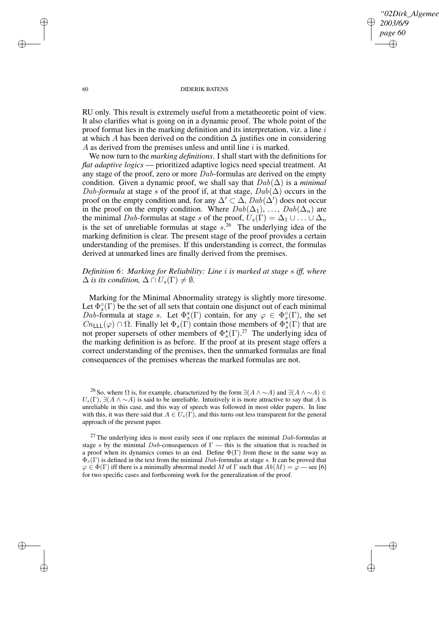# *"2Dirk\_Algemee 2003/6/9 page 60* ✐ ✐

✐

✐

## 60 DIDERIK BATENS

RU only. This result is extremely useful from a metatheoretic point of view. It also clarifies what is going on in a dynamic proof. The whole point of the proof format lies in the marking definition and its interpretation, viz. a line  $i$ at which A has been derived on the condition  $\Delta$  justifies one in considering A as derived from the premises unless and until line  $i$  is marked.

We now turn to the *marking definitions*. I shall start with the definitions for *flat adaptive logics* — prioritized adaptive logics need special treatment. At any stage of the proof, zero or more Dab-formulas are derived on the empty condition. Given a dynamic proof, we shall say that  $Dab(\Delta)$  is a *minimal* Dab-formula at stage s of the proof if, at that stage,  $Dab(\Delta)$  occurs in the proof on the empty condition and, for any  $\Delta' \subset \Delta$ ,  $Dab(\Delta')$  does not occur in the proof on the empty condition. Where  $Dab(\Delta_1), \ldots, Dab(\Delta_n)$  are the minimal Dab-formulas at stage s of the proof,  $U_s(\Gamma) = \Delta_1 \cup \ldots \cup \Delta_n$ is the set of unreliable formulas at stage  $s^{26}$  The underlying idea of the marking definition is clear. The present stage of the proof provides a certain understanding of the premises. If this understanding is correct, the formulas derived at unmarked lines are finally derived from the premises.

# *Definition 6*: *Marking for Reliability: Line* i *is marked at stage* s *iff, where*  $\Delta$  *is its condition,*  $\Delta \cap U_s(\Gamma) \neq \emptyset$ *.*

Marking for the Minimal Abnormality strategy is slightly more tiresome. Let  $\Phi_s^{\circ}(\Gamma)$  be the set of all sets that contain one disjunct out of each minimal Dab-formula at stage s. Let  $\Phi_s^{\star}(\Gamma)$  contain, for any  $\varphi \in \Phi_s^{\circ}(\Gamma)$ , the set  $Cn_{\text{LLL}}(\varphi) \cap \Omega$ . Finally let  $\Phi_s(\Gamma)$  contain those members of  $\Phi_s^*(\Gamma)$  that are not proper supersets of other members of  $\Phi_s^*(\Gamma)$ .<sup>27</sup> The underlying idea of the marking definition is as before. If the proof at its present stage offers a correct understanding of the premises, then the unmarked formulas are final consequences of the premises whereas the marked formulas are not.

<sup>26</sup> So, where  $\Omega$  is, for example, characterized by the form  $\exists(A \wedge \sim A)$  and  $\exists(A \wedge \sim A) \in$  $U_s(\Gamma)$ ,  $\exists (A \land \sim A)$  is said to be unreliable. Intuitively it is more attractive to say that A is unreliable in this case, and this way of speech was followed in most older papers. In line with this, it was there said that  $A \in U_s(\Gamma)$ , and this turns out less transparent for the general approach of the present paper.

✐

✐

✐

 $^{27}$  The underlying idea is most easily seen if one replaces the minimal  $Dab$ -formulas at stage s by the minimal Dab-consequences of  $\Gamma$  — this is the situation that is reached in a proof when its dynamics comes to an end. Define  $\Phi(\Gamma)$  from these in the same way as  $\Phi_s(\Gamma)$  is defined in the text from the minimal Dab-formulas at stage s. It can be proved that  $\varphi \in \Phi(\Gamma)$  iff there is a minimally abnormal model M of  $\Gamma$  such that  $Ab(M) = \varphi$  — see [6] for two specific cases and forthcoming work for the generalization of the proof.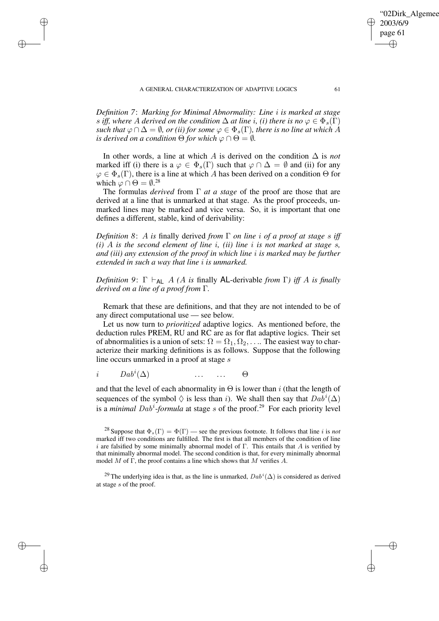✐

✐

✐

*Definition 7*: *Marking for Minimal Abnormality: Line* i *is marked at stage* s *iff,* where A derived on the condition  $\Delta$  at line *i*, *(i)* there is no  $\varphi \in \Phi_s(\Gamma)$ *such that*  $\varphi \cap \Delta = \emptyset$ *, or (ii) for some*  $\varphi \in \Phi_s(\Gamma)$ *, there is no line at which* A *is derived on a condition*  $\Theta$  *for which*  $\varphi \cap \Theta = \emptyset$ *.* 

In other words, a line at which A is derived on the condition ∆ is *not* marked iff (i) there is a  $\varphi \in \Phi_s(\Gamma)$  such that  $\varphi \cap \Delta = \emptyset$  and (ii) for any  $\varphi \in \Phi_s(\Gamma)$ , there is a line at which A has been derived on a condition  $\Theta$  for which  $\varphi \cap \Theta = \emptyset$ .<sup>28</sup>

The formulas *derived* from Γ *at a stage* of the proof are those that are derived at a line that is unmarked at that stage. As the proof proceeds, unmarked lines may be marked and vice versa. So, it is important that one defines a different, stable, kind of derivability:

*Definition 8*: A *is* finally derived *from* Γ *on line* i *of a proof at stage* s *iff (i)* A *is the second element of line* i*, (ii) line* i *is not marked at stage* s*, and (iii) any extension of the proof in which line* i *is marked may be further extended in such a way that line* i *is unmarked.*

*Definition* 9:  $\Gamma \vdash_{\mathsf{AL}} A$  *(A is* finally **AL**-derivable *from*  $\Gamma$ *) iff* A *is finally derived on a line of a proof from* Γ*.*

Remark that these are definitions, and that they are not intended to be of any direct computational use — see below.

Let us now turn to *prioritized* adaptive logics. As mentioned before, the deduction rules PREM, RU and RC are as for flat adaptive logics. Their set of abnormalities is a union of sets:  $\Omega = \Omega_1, \Omega_2, \ldots$  The easiest way to characterize their marking definitions is as follows. Suppose that the following line occurs unmarked in a proof at stage s

 $i$   $Dab^i(\Delta)$  ... ...  $\Theta$ 

and that the level of each abnormality in  $\Theta$  is lower than i (that the length of sequences of the symbol  $\Diamond$  is less than i. We shall then say that  $Dab^i(\Delta)$ is a *minimal* Dab<sup>i</sup> -*formula* at stage s of the proof.<sup>29</sup> For each priority level

<sup>29</sup> The underlying idea is that, as the line is unmarked,  $Dab^i(\Delta)$  is considered as derived at stage s of the proof.

'02Dirk\_Algemee

2003/6/9 page 61

✐

✐

✐

<sup>&</sup>lt;sup>28</sup> Suppose that  $\Phi_s(\Gamma) = \Phi(\Gamma)$  — see the previous footnote. It follows that line *i* is *not* marked iff two conditions are fulfilled. The first is that all members of the condition of line i are falsified by some minimally abnormal model of  $\Gamma$ . This entails that A is verified by that minimally abnormal model. The second condition is that, for every minimally abnormal model M of  $\Gamma$ , the proof contains a line which shows that M verifies A.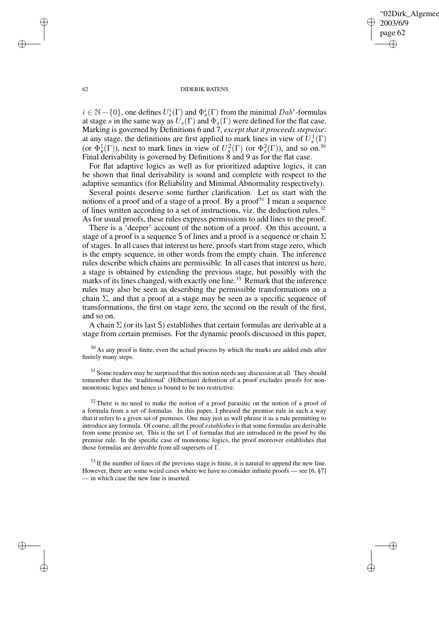✐

## 62 DIDERIK BATENS

 $i \in \mathbb{N} - \{0\}$ , one defines  $U_s^i(\Gamma)$  and  $\Phi_s^i(\Gamma)$  from the minimal  $Dab^i$ -formulas at stage s in the same way as  $U_s(\Gamma)$  and  $\Phi_s(\Gamma)$  were defined for the flat case. Marking is governed by Definitions 6 and 7, *except that it proceeds stepwise*: at any stage, the definitions are first applied to mark lines in view of  $U_s^1(\Gamma)$ (or  $\Phi_s^1(\Gamma)$ ), next to mark lines in view of  $U_s^2(\Gamma)$  (or  $\Phi_s^2(\Gamma)$ ), and so on.<sup>30</sup> Final derivability is governed by Definitions 8 and 9 as for the flat case.

For flat adaptive logics as well as for prioritized adaptive logics, it can be shown that final derivability is sound and complete with respect to the adaptive semantics (for Reliability and Minimal Abnormality respectively).

Several points deserve some further clarification. Let us start with the notions of a proof and of a stage of a proof. By a proof $31$  I mean a sequence of lines written according to a set of instructions, viz. the deduction rules.<sup>32</sup> As for usual proofs, these rules express permissions to add lines to the proof.

There is a 'deeper' account of the notion of a proof. On this account, a stage of a proof is a sequence S of lines and a proof is a sequence or chain  $\Sigma$ of stages. In all cases that interest us here, proofs start from stage zero, which is the empty sequence, in other words from the empty chain. The inference rules describe which chains are permissible. In all cases that interest us here, a stage is obtained by extending the previous stage, but possibly with the marks of its lines changed, with exactly one line.<sup>33</sup> Remark that the inference rules may also be seen as describing the permissible transformations on a chain  $\Sigma$ , and that a proof at a stage may be seen as a specific sequence of transformations, the first on stage zero, the second on the result of the first, and so on.

A chain  $\Sigma$  (or its last S) establishes that certain formulas are derivable at a stage from certain premises. For the dynamic proofs discussed in this paper,

<sup>30</sup> As any proof is finite, even the actual process by which the marks are added ends after finitely many steps.

<sup>31</sup> Some readers may be surprised that this notion needs any discussion at all. They should remember that the 'traditional' (Hilbertian) definition of a proof excludes proofs for nonmonotonic logics and hence is bound to be too restrictive.

 $32$  There is no need to make the notion of a proof parasitic on the notion of a proof of a formula from a set of formulas. In this paper, I phrased the premise rule in such a way that it refers to a given set of premises. One may just as well phrase it as a rule permitting to introduce any formula. Of course, all the proof *establishes* is that some formulas are derivable from some premise set. This is the set  $\Gamma$  of formulas that are introduced in the proof by the premise rule. In the specific case of monotonic logics, the proof moreover establishes that those formulas are derivable from all supersets of Γ.

 $33$  If the number of lines of the previous stage is finite, it is natural to append the new line. However, there are some weird cases where we have to consider infinite proofs — see [6, §7] — in which case the new line is inserted.

✐

✐

✐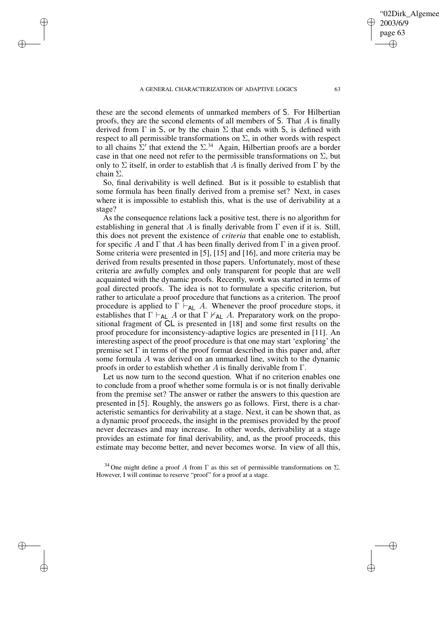✐

✐

✐

✐

02Dirk\_Algemee

2003/6/9 page 63

✐

✐

✐

these are the second elements of unmarked members of S. For Hilbertian proofs, they are the second elements of all members of S. That A is finally derived from  $\Gamma$  in S, or by the chain  $\Sigma$  that ends with S, is defined with respect to all permissible transformations on  $\Sigma$ , in other words with respect to all chains  $\Sigma'$  that extend the  $\Sigma^{34}$  Again, Hilbertian proofs are a border case in that one need not refer to the permissible transformations on  $\Sigma$ , but only to  $\Sigma$  itself, in order to establish that A is finally derived from  $\Gamma$  by the chain Σ.

So, final derivability is well defined. But is it possible to establish that some formula has been finally derived from a premise set? Next, in cases where it is impossible to establish this, what is the use of derivability at a stage?

As the consequence relations lack a positive test, there is no algorithm for establishing in general that A is finally derivable from  $\Gamma$  even if it is. Still, this does not prevent the existence of *criteria* that enable one to establish, for specific A and  $\Gamma$  that A has been finally derived from  $\Gamma$  in a given proof. Some criteria were presented in [5], [15] and [16], and more criteria may be derived from results presented in those papers. Unfortunately, most of these criteria are awfully complex and only transparent for people that are well acquainted with the dynamic proofs. Recently, work was started in terms of goal directed proofs. The idea is not to formulate a specific criterion, but rather to articulate a proof procedure that functions as a criterion. The proof procedure is applied to  $\Gamma \vdash_{AL} A$ . Whenever the proof procedure stops, it establishes that  $\Gamma \vdash_{AL} A$  or that  $\Gamma \nvdash_{AL} A$ . Preparatory work on the propositional fragment of CL is presented in [18] and some first results on the proof procedure for inconsistency-adaptive logics are presented in [11]. An interesting aspect of the proof procedure is that one may start 'exploring' the premise set  $\Gamma$  in terms of the proof format described in this paper and, after some formula A was derived on an unmarked line, switch to the dynamic proofs in order to establish whether A is finally derivable from  $\Gamma$ .

Let us now turn to the second question. What if no criterion enables one to conclude from a proof whether some formula is or is not finally derivable from the premise set? The answer or rather the answers to this question are presented in [5]. Roughly, the answers go as follows. First, there is a characteristic semantics for derivability at a stage. Next, it can be shown that, as a dynamic proof proceeds, the insight in the premises provided by the proof never decreases and may increase. In other words, derivability at a stage provides an estimate for final derivability, and, as the proof proceeds, this estimate may become better, and never becomes worse. In view of all this,

<sup>34</sup> One might define a proof A from  $\Gamma$  as this set of permissible transformations on  $\Sigma$ . However, I will continue to reserve "proof" for a proof at a stage.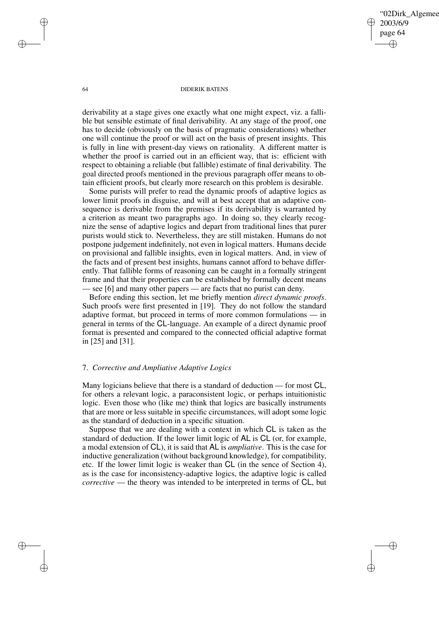02Dirk Algemee 2003/6/9 page 64 ✐ ✐

✐

✐

## 64 DIDERIK BATENS

derivability at a stage gives one exactly what one might expect, viz. a fallible but sensible estimate of final derivability. At any stage of the proof, one has to decide (obviously on the basis of pragmatic considerations) whether one will continue the proof or will act on the basis of present insights. This is fully in line with present-day views on rationality. A different matter is whether the proof is carried out in an efficient way, that is: efficient with respect to obtaining a reliable (but fallible) estimate of final derivability. The goal directed proofs mentioned in the previous paragraph offer means to obtain efficient proofs, but clearly more research on this problem is desirable.

Some purists will prefer to read the dynamic proofs of adaptive logics as lower limit proofs in disguise, and will at best accept that an adaptive consequence is derivable from the premises if its derivability is warranted by a criterion as meant two paragraphs ago. In doing so, they clearly recognize the sense of adaptive logics and depart from traditional lines that purer purists would stick to. Nevertheless, they are still mistaken. Humans do not postpone judgement indefinitely, not even in logical matters. Humans decide on provisional and fallible insights, even in logical matters. And, in view of the facts and of present best insights, humans cannot afford to behave differently. That fallible forms of reasoning can be caught in a formally stringent frame and that their properties can be established by formally decent means - see [6] and many other papers — are facts that no purist can deny.

Before ending this section, let me briefly mention *direct dynamic proofs*. Such proofs were first presented in [19]. They do not follow the standard adaptive format, but proceed in terms of more common formulations — in general in terms of the CL-language. An example of a direct dynamic proof format is presented and compared to the connected official adaptive format in [25] and [31].

## 7. *Corrective and Ampliative Adaptive Logics*

Many logicians believe that there is a standard of deduction — for most CL, for others a relevant logic, a paraconsistent logic, or perhaps intuitionistic logic. Even those who (like me) think that logics are basically instruments that are more or less suitable in specific circumstances, will adopt some logic as the standard of deduction in a specific situation.

Suppose that we are dealing with a context in which CL is taken as the standard of deduction. If the lower limit logic of AL is CL (or, for example, a modal extension of CL), it is said that AL is *ampliative*. This is the case for inductive generalization (without background knowledge), for compatibility, etc. If the lower limit logic is weaker than CL (in the sence of Section 4), as is the case for inconsistency-adaptive logics, the adaptive logic is called *corrective* — the theory was intended to be interpreted in terms of CL, but

✐

✐

✐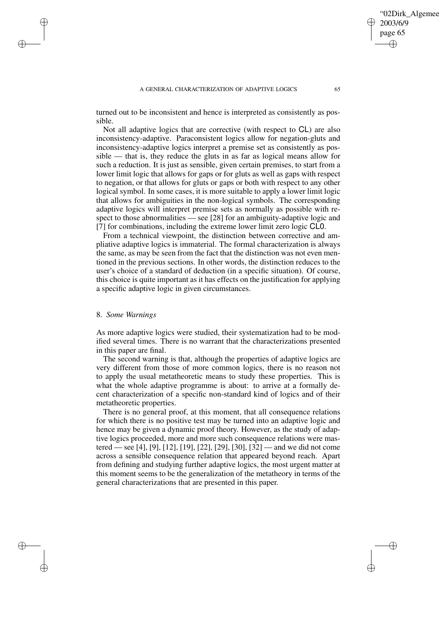## A GENERAL CHARACTERIZATION OF ADAPTIVE LOGICS 65

turned out to be inconsistent and hence is interpreted as consistently as possible.

Not all adaptive logics that are corrective (with respect to CL) are also inconsistency-adaptive. Paraconsistent logics allow for negation-gluts and inconsistency-adaptive logics interpret a premise set as consistently as possible — that is, they reduce the gluts in as far as logical means allow for such a reduction. It is just as sensible, given certain premises, to start from a lower limit logic that allows for gaps or for gluts as well as gaps with respect to negation, or that allows for gluts or gaps or both with respect to any other logical symbol. In some cases, it is more suitable to apply a lower limit logic that allows for ambiguities in the non-logical symbols. The corresponding adaptive logics will interpret premise sets as normally as possible with respect to those abnormalities — see [28] for an ambiguity-adaptive logic and [7] for combinations, including the extreme lower limit zero logic CL0.

From a technical viewpoint, the distinction between corrective and ampliative adaptive logics is immaterial. The formal characterization is always the same, as may be seen from the fact that the distinction was not even mentioned in the previous sections. In other words, the distinction reduces to the user's choice of a standard of deduction (in a specific situation). Of course, this choice is quite important as it has effects on the justification for applying a specific adaptive logic in given circumstances.

# 8. *Some Warnings*

✐

✐

✐

✐

As more adaptive logics were studied, their systematization had to be modified several times. There is no warrant that the characterizations presented in this paper are final.

The second warning is that, although the properties of adaptive logics are very different from those of more common logics, there is no reason not to apply the usual metatheoretic means to study these properties. This is what the whole adaptive programme is about: to arrive at a formally decent characterization of a specific non-standard kind of logics and of their metatheoretic properties.

There is no general proof, at this moment, that all consequence relations for which there is no positive test may be turned into an adaptive logic and hence may be given a dynamic proof theory. However, as the study of adaptive logics proceeded, more and more such consequence relations were mastered — see [4], [9], [12], [19], [22], [29], [30], [32] — and we did not come across a sensible consequence relation that appeared beyond reach. Apart from defining and studying further adaptive logics, the most urgent matter at this moment seems to be the generalization of the metatheory in terms of the general characterizations that are presented in this paper.

02Dirk Algemee

2003/6/9 page 65

✐

✐

✐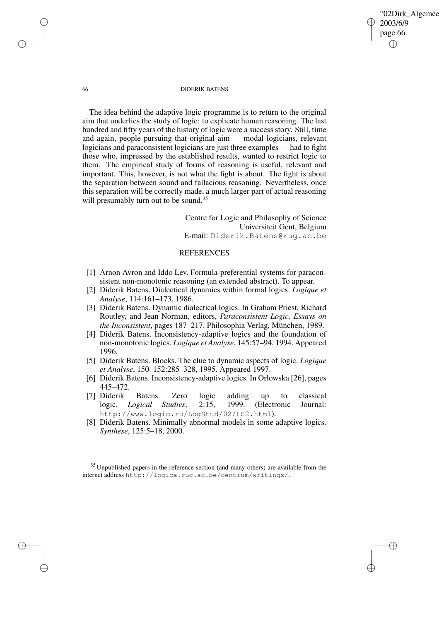✐

## 66 DIDERIK BATENS

The idea behind the adaptive logic programme is to return to the original aim that underlies the study of logic: to explicate human reasoning. The last hundred and fifty years of the history of logic were a success story. Still, time and again, people pursuing that original aim — modal logicians, relevant logicians and paraconsistent logicians are just three examples — had to fight those who, impressed by the established results, wanted to restrict logic to them. The empirical study of forms of reasoning is useful, relevant and important. This, however, is not what the fight is about. The fight is about the separation between sound and fallacious reasoning. Nevertheless, once this separation will be correctly made, a much larger part of actual reasoning will presumably turn out to be sound.<sup>35</sup>

> Centre for Logic and Philosophy of Science Universiteit Gent, Belgium E-mail: Diderik.Batens@rug.ac.be

# REFERENCES

- [1] Arnon Avron and Iddo Lev. Formula-preferential systems for paraconsistent non-monotonic reasoning (an extended abstract). To appear.
- [2] Diderik Batens. Dialectical dynamics within formal logics. *Logique et Analyse*, 114:161–173, 1986.
- [3] Diderik Batens. Dynamic dialectical logics. In Graham Priest, Richard Routley, and Jean Norman, editors, *Paraconsistent Logic. Essays on the Inconsistent*, pages 187–217. Philosophia Verlag, München, 1989.
- [4] Diderik Batens. Inconsistency-adaptive logics and the foundation of non-monotonic logics. *Logique et Analyse*, 145:57–94, 1994. Appeared 1996.
- [5] Diderik Batens. Blocks. The clue to dynamic aspects of logic. *Logique et Analyse*, 150–152:285–328, 1995. Appeared 1997.
- [6] Diderik Batens. Inconsistency-adaptive logics. In Orłowska [26], pages 445–472.
- [7] Diderik Batens. Zero logic adding up to classical logic. *Logical Studies*, 2:15, 1999. (Electronic Journal: http://www.logic.ru/LogStud/02/LS2.html).
- [8] Diderik Batens. Minimally abnormal models in some adaptive logics. *Synthese*, 125:5–18, 2000.

<sup>35</sup> Unpublished papers in the reference section (and many others) are available from the internet address http://logica.rug.ac.be/centrum/writings/.

✐

✐

✐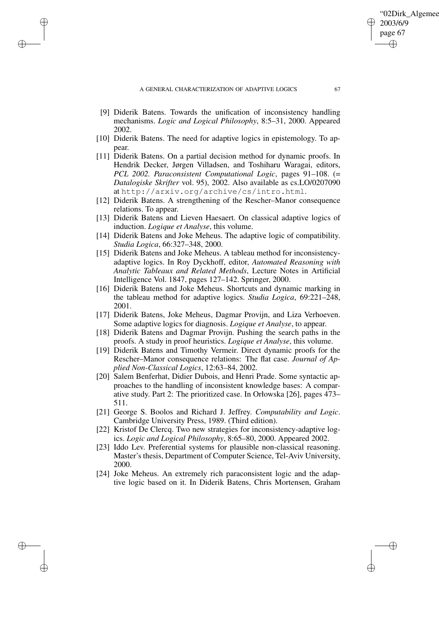✐

✐

✐

- [9] Diderik Batens. Towards the unification of inconsistency handling mechanisms. *Logic and Logical Philosophy*, 8:5–31, 2000. Appeared 2002.
- [10] Diderik Batens. The need for adaptive logics in epistemology. To appear.
- [11] Diderik Batens. On a partial decision method for dynamic proofs. In Hendrik Decker, Jørgen Villadsen, and Toshiharu Waragai, editors, *PCL 2002. Paraconsistent Computational Logic*, pages 91–108. (= *Datalogiske Skrifter* vol. 95), 2002. Also available as cs.LO/0207090 at http://arxiv.org/archive/cs/intro.html.
- [12] Diderik Batens. A strengthening of the Rescher–Manor consequence relations. To appear.
- [13] Diderik Batens and Lieven Haesaert. On classical adaptive logics of induction. *Logique et Analyse*, this volume.
- [14] Diderik Batens and Joke Meheus. The adaptive logic of compatibility. *Studia Logica*, 66:327–348, 2000.
- [15] Diderik Batens and Joke Meheus. A tableau method for inconsistencyadaptive logics. In Roy Dyckhoff, editor, *Automated Reasoning with Analytic Tableaux and Related Methods*, Lecture Notes in Artificial Intelligence Vol. 1847, pages 127–142. Springer, 2000.
- [16] Diderik Batens and Joke Meheus. Shortcuts and dynamic marking in the tableau method for adaptive logics. *Studia Logica*, 69:221–248, 2001.
- [17] Diderik Batens, Joke Meheus, Dagmar Provijn, and Liza Verhoeven. Some adaptive logics for diagnosis. *Logique et Analyse*, to appear.
- [18] Diderik Batens and Dagmar Provijn. Pushing the search paths in the proofs. A study in proof heuristics. *Logique et Analyse*, this volume.
- [19] Diderik Batens and Timothy Vermeir. Direct dynamic proofs for the Rescher–Manor consequence relations: The flat case. *Journal of Applied Non-Classical Logics*, 12:63–84, 2002.
- [20] Salem Benferhat, Didier Dubois, and Henri Prade. Some syntactic approaches to the handling of inconsistent knowledge bases: A comparative study. Part 2: The prioritized case. In Orłowska [26], pages 473– 511.
- [21] George S. Boolos and Richard J. Jeffrey. *Computability and Logic*. Cambridge University Press, 1989. (Third edition).
- [22] Kristof De Clercq. Two new strategies for inconsistency-adaptive logics. *Logic and Logical Philosophy*, 8:65–80, 2000. Appeared 2002.
- [23] Iddo Lev. Preferential systems for plausible non-classical reasoning. Master's thesis, Department of Computer Science, Tel-Aviv University, 2000.
- [24] Joke Meheus. An extremely rich paraconsistent logic and the adaptive logic based on it. In Diderik Batens, Chris Mortensen, Graham

'02Dirk Algemee

2003/6/9 page 67

✐

✐

✐